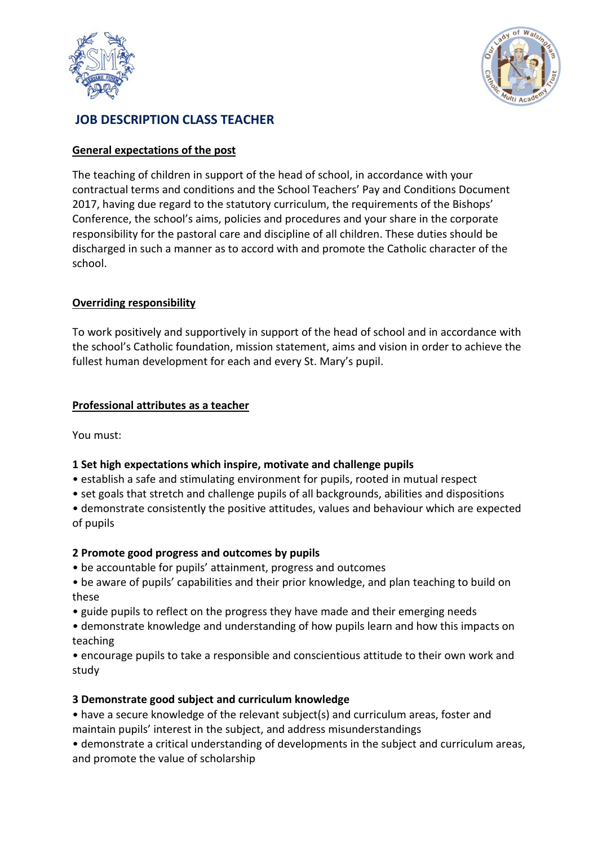



# **JOB DESCRIPTION CLASS TEACHER**

### **General expectations of the post**

The teaching of children in support of the head of school, in accordance with your contractual terms and conditions and the School Teachers' Pay and Conditions Document 2017, having due regard to the statutory curriculum, the requirements of the Bishops' Conference, the school's aims, policies and procedures and your share in the corporate responsibility for the pastoral care and discipline of all children. These duties should be discharged in such a manner as to accord with and promote the Catholic character of the school.

#### **Overriding responsibility**

To work positively and supportively in support of the head of school and in accordance with the school's Catholic foundation, mission statement, aims and vision in order to achieve the fullest human development for each and every St. Mary's pupil.

#### **Professional attributes as a teacher**

You must:

### **1 Set high expectations which inspire, motivate and challenge pupils**

- establish a safe and stimulating environment for pupils, rooted in mutual respect
- set goals that stretch and challenge pupils of all backgrounds, abilities and dispositions

• demonstrate consistently the positive attitudes, values and behaviour which are expected of pupils

### **2 Promote good progress and outcomes by pupils**

- be accountable for pupils' attainment, progress and outcomes
- be aware of pupils' capabilities and their prior knowledge, and plan teaching to build on these
- guide pupils to reflect on the progress they have made and their emerging needs
- demonstrate knowledge and understanding of how pupils learn and how this impacts on teaching
- encourage pupils to take a responsible and conscientious attitude to their own work and study

### **3 Demonstrate good subject and curriculum knowledge**

• have a secure knowledge of the relevant subject(s) and curriculum areas, foster and maintain pupils' interest in the subject, and address misunderstandings

• demonstrate a critical understanding of developments in the subject and curriculum areas, and promote the value of scholarship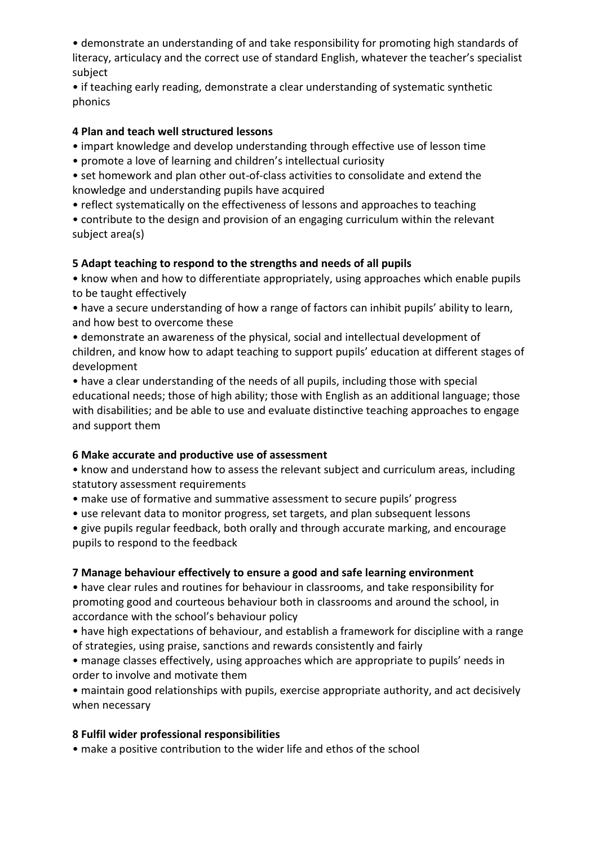• demonstrate an understanding of and take responsibility for promoting high standards of literacy, articulacy and the correct use of standard English, whatever the teacher's specialist subject

• if teaching early reading, demonstrate a clear understanding of systematic synthetic phonics

#### **4 Plan and teach well structured lessons**

• impart knowledge and develop understanding through effective use of lesson time

• promote a love of learning and children's intellectual curiosity

• set homework and plan other out-of-class activities to consolidate and extend the knowledge and understanding pupils have acquired

• reflect systematically on the effectiveness of lessons and approaches to teaching

• contribute to the design and provision of an engaging curriculum within the relevant subject area(s)

#### **5 Adapt teaching to respond to the strengths and needs of all pupils**

• know when and how to differentiate appropriately, using approaches which enable pupils to be taught effectively

• have a secure understanding of how a range of factors can inhibit pupils' ability to learn, and how best to overcome these

• demonstrate an awareness of the physical, social and intellectual development of children, and know how to adapt teaching to support pupils' education at different stages of development

• have a clear understanding of the needs of all pupils, including those with special educational needs; those of high ability; those with English as an additional language; those with disabilities; and be able to use and evaluate distinctive teaching approaches to engage and support them

### **6 Make accurate and productive use of assessment**

• know and understand how to assess the relevant subject and curriculum areas, including statutory assessment requirements

• make use of formative and summative assessment to secure pupils' progress

• use relevant data to monitor progress, set targets, and plan subsequent lessons

• give pupils regular feedback, both orally and through accurate marking, and encourage pupils to respond to the feedback

### **7 Manage behaviour effectively to ensure a good and safe learning environment**

• have clear rules and routines for behaviour in classrooms, and take responsibility for promoting good and courteous behaviour both in classrooms and around the school, in accordance with the school's behaviour policy

• have high expectations of behaviour, and establish a framework for discipline with a range of strategies, using praise, sanctions and rewards consistently and fairly

• manage classes effectively, using approaches which are appropriate to pupils' needs in order to involve and motivate them

• maintain good relationships with pupils, exercise appropriate authority, and act decisively when necessary

### **8 Fulfil wider professional responsibilities**

• make a positive contribution to the wider life and ethos of the school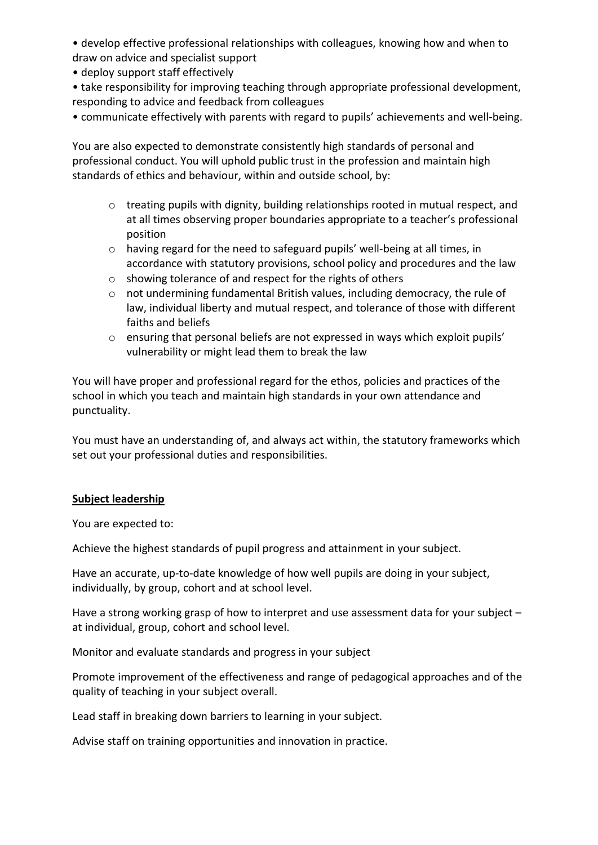• develop effective professional relationships with colleagues, knowing how and when to draw on advice and specialist support

- deploy support staff effectively
- take responsibility for improving teaching through appropriate professional development, responding to advice and feedback from colleagues
- communicate effectively with parents with regard to pupils' achievements and well-being.

You are also expected to demonstrate consistently high standards of personal and professional conduct. You will uphold public trust in the profession and maintain high standards of ethics and behaviour, within and outside school, by:

- o treating pupils with dignity, building relationships rooted in mutual respect, and at all times observing proper boundaries appropriate to a teacher's professional position
- o having regard for the need to safeguard pupils' well-being at all times, in accordance with statutory provisions, school policy and procedures and the law
- o showing tolerance of and respect for the rights of others
- $\circ$  not undermining fundamental British values, including democracy, the rule of law, individual liberty and mutual respect, and tolerance of those with different faiths and beliefs
- o ensuring that personal beliefs are not expressed in ways which exploit pupils' vulnerability or might lead them to break the law

You will have proper and professional regard for the ethos, policies and practices of the school in which you teach and maintain high standards in your own attendance and punctuality.

You must have an understanding of, and always act within, the statutory frameworks which set out your professional duties and responsibilities.

#### **Subject leadership**

You are expected to:

Achieve the highest standards of pupil progress and attainment in your subject.

Have an accurate, up-to-date knowledge of how well pupils are doing in your subject, individually, by group, cohort and at school level.

Have a strong working grasp of how to interpret and use assessment data for your subject – at individual, group, cohort and school level.

Monitor and evaluate standards and progress in your subject

Promote improvement of the effectiveness and range of pedagogical approaches and of the quality of teaching in your subject overall.

Lead staff in breaking down barriers to learning in your subject.

Advise staff on training opportunities and innovation in practice.